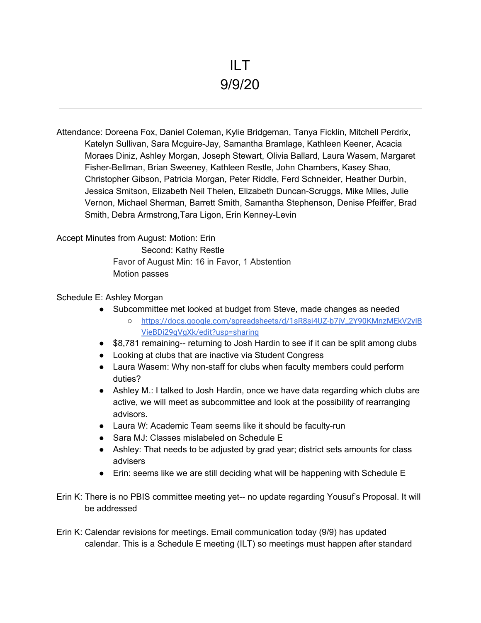Attendance: Doreena Fox, Daniel Coleman, Kylie Bridgeman, Tanya Ficklin, Mitchell Perdrix, Katelyn Sullivan, Sara Mcguire-Jay, Samantha Bramlage, Kathleen Keener, Acacia Moraes Diniz, Ashley Morgan, Joseph Stewart, Olivia Ballard, Laura Wasem, Margaret Fisher-Bellman, Brian Sweeney, Kathleen Restle, John Chambers, Kasey Shao, Christopher Gibson, Patricia Morgan, Peter Riddle, Ferd Schneider, Heather Durbin, Jessica Smitson, Elizabeth Neil Thelen, Elizabeth Duncan-Scruggs, Mike Miles, Julie Vernon, Michael Sherman, Barrett Smith, Samantha Stephenson, Denise Pfeiffer, Brad Smith, Debra Armstrong,Tara Ligon, Erin Kenney-Levin

Accept Minutes from August: Motion: Erin

Second: Kathy Restle Favor of August Min: 16 in Favor, 1 Abstention Motion passes

## Schedule E: Ashley Morgan

- Subcommittee met looked at budget from Steve, made changes as needed
	- [https://docs.google.com/spreadsheets/d/1sR8si4UZ-b7jV\\_2Y90KMnzMEkV2yIB](https://meet.google.com/linkredirect?authuser=1&dest=https%3A%2F%2Fdocs.google.com%2Fspreadsheets%2Fd%2F1sR8si4UZ-b7jV_2Y90KMnzMEkV2yIBVieBDi29gVgXk%2Fedit%3Fusp%3Dsharing) [VieBDi29gVgXk/edit?usp=sharing](https://meet.google.com/linkredirect?authuser=1&dest=https%3A%2F%2Fdocs.google.com%2Fspreadsheets%2Fd%2F1sR8si4UZ-b7jV_2Y90KMnzMEkV2yIBVieBDi29gVgXk%2Fedit%3Fusp%3Dsharing)
- \$8,781 remaining-- returning to Josh Hardin to see if it can be split among clubs
- Looking at clubs that are inactive via Student Congress
- Laura Wasem: Why non-staff for clubs when faculty members could perform duties?
- Ashley M.: I talked to Josh Hardin, once we have data regarding which clubs are active, we will meet as subcommittee and look at the possibility of rearranging advisors.
- Laura W: Academic Team seems like it should be faculty-run
- Sara MJ: Classes mislabeled on Schedule E
- Ashley: That needs to be adjusted by grad year; district sets amounts for class advisers
- Erin: seems like we are still deciding what will be happening with Schedule E
- Erin K: There is no PBIS committee meeting yet-- no update regarding Yousuf's Proposal. It will be addressed
- Erin K: Calendar revisions for meetings. Email communication today (9/9) has updated calendar. This is a Schedule E meeting (ILT) so meetings must happen after standard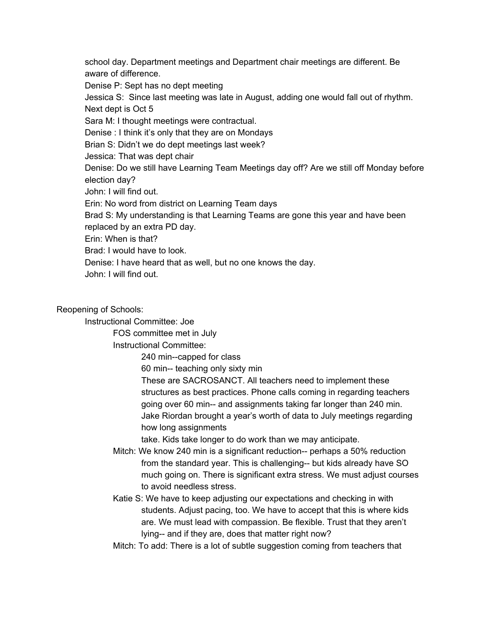school day. Department meetings and Department chair meetings are different. Be aware of difference. Denise P: Sept has no dept meeting Jessica S: Since last meeting was late in August, adding one would fall out of rhythm. Next dept is Oct 5 Sara M: I thought meetings were contractual. Denise : I think it's only that they are on Mondays Brian S: Didn't we do dept meetings last week? Jessica: That was dept chair Denise: Do we still have Learning Team Meetings day off? Are we still off Monday before

election day?

John: I will find out.

Erin: No word from district on Learning Team days

Brad S: My understanding is that Learning Teams are gone this year and have been replaced by an extra PD day.

Erin: When is that?

Brad: I would have to look.

Denise: I have heard that as well, but no one knows the day.

John: I will find out.

Reopening of Schools:

Instructional Committee: Joe

FOS committee met in July

Instructional Committee:

240 min--capped for class

60 min-- teaching only sixty min

These are SACROSANCT. All teachers need to implement these structures as best practices. Phone calls coming in regarding teachers going over 60 min-- and assignments taking far longer than 240 min. Jake Riordan brought a year's worth of data to July meetings regarding how long assignments

take. Kids take longer to do work than we may anticipate.

- Mitch: We know 240 min is a significant reduction-- perhaps a 50% reduction from the standard year. This is challenging-- but kids already have SO much going on. There is significant extra stress. We must adjust courses to avoid needless stress.
- Katie S: We have to keep adjusting our expectations and checking in with students. Adjust pacing, too. We have to accept that this is where kids are. We must lead with compassion. Be flexible. Trust that they aren't lying-- and if they are, does that matter right now?
- Mitch: To add: There is a lot of subtle suggestion coming from teachers that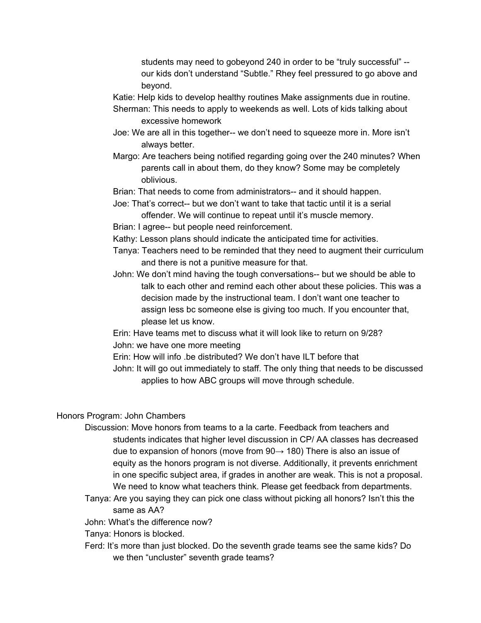students may need to gobeyond 240 in order to be "truly successful" - our kids don't understand "Subtle." Rhey feel pressured to go above and beyond.

Katie: Help kids to develop healthy routines Make assignments due in routine.

- Sherman: This needs to apply to weekends as well. Lots of kids talking about excessive homework
- Joe: We are all in this together-- we don't need to squeeze more in. More isn't always better.
- Margo: Are teachers being notified regarding going over the 240 minutes? When parents call in about them, do they know? Some may be completely oblivious.

Brian: That needs to come from administrators-- and it should happen.

- Joe: That's correct-- but we don't want to take that tactic until it is a serial offender. We will continue to repeat until it's muscle memory.
- Brian: I agree-- but people need reinforcement.
- Kathy: Lesson plans should indicate the anticipated time for activities.
- Tanya: Teachers need to be reminded that they need to augment their curriculum and there is not a punitive measure for that.
- John: We don't mind having the tough conversations-- but we should be able to talk to each other and remind each other about these policies. This was a decision made by the instructional team. I don't want one teacher to assign less bc someone else is giving too much. If you encounter that, please let us know.

Erin: Have teams met to discuss what it will look like to return on 9/28? John: we have one more meeting

Erin: How will info .be distributed? We don't have ILT before that

John: It will go out immediately to staff. The only thing that needs to be discussed applies to how ABC groups will move through schedule.

## Honors Program: John Chambers

- Discussion: Move honors from teams to a la carte. Feedback from teachers and students indicates that higher level discussion in CP/ AA classes has decreased due to expansion of honors (move from  $90 \rightarrow 180$ ) There is also an issue of equity as the honors program is not diverse. Additionally, it prevents enrichment in one specific subject area, if grades in another are weak. This is not a proposal. We need to know what teachers think. Please get feedback from departments.
- Tanya: Are you saying they can pick one class without picking all honors? Isn't this the same as AA?

John: What's the difference now?

Tanya: Honors is blocked.

Ferd: It's more than just blocked. Do the seventh grade teams see the same kids? Do we then "uncluster" seventh grade teams?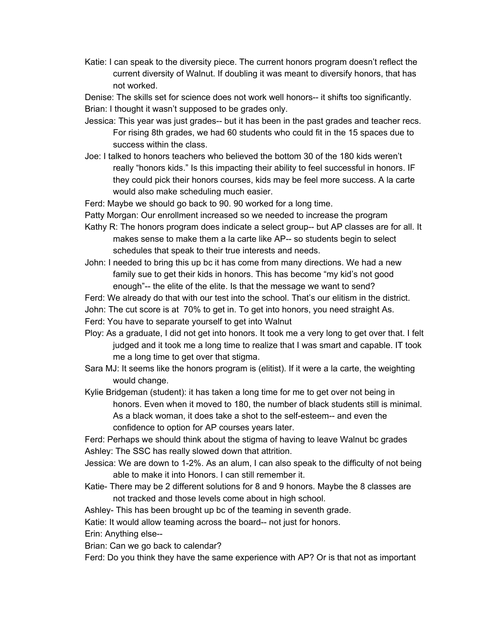Katie: I can speak to the diversity piece. The current honors program doesn't reflect the current diversity of Walnut. If doubling it was meant to diversify honors, that has not worked.

Denise: The skills set for science does not work well honors-- it shifts too significantly. Brian: I thought it wasn't supposed to be grades only.

- Jessica: This year was just grades-- but it has been in the past grades and teacher recs. For rising 8th grades, we had 60 students who could fit in the 15 spaces due to success within the class.
- Joe: I talked to honors teachers who believed the bottom 30 of the 180 kids weren't really "honors kids." Is this impacting their ability to feel successful in honors. IF they could pick their honors courses, kids may be feel more success. A la carte would also make scheduling much easier.

Ferd: Maybe we should go back to 90. 90 worked for a long time.

- Patty Morgan: Our enrollment increased so we needed to increase the program
- Kathy R: The honors program does indicate a select group-- but AP classes are for all. It makes sense to make them a la carte like AP-- so students begin to select schedules that speak to their true interests and needs.
- John: I needed to bring this up bc it has come from many directions. We had a new family sue to get their kids in honors. This has become "my kid's not good enough"-- the elite of the elite. Is that the message we want to send?
- Ferd: We already do that with our test into the school. That's our elitism in the district.
- John: The cut score is at 70% to get in. To get into honors, you need straight As.
- Ferd: You have to separate yourself to get into Walnut
- Ploy: As a graduate, I did not get into honors. It took me a very long to get over that. I felt judged and it took me a long time to realize that I was smart and capable. IT took me a long time to get over that stigma.
- Sara MJ: It seems like the honors program is (elitist). If it were a la carte, the weighting would change.
- Kylie Bridgeman (student): it has taken a long time for me to get over not being in honors. Even when it moved to 180, the number of black students still is minimal. As a black woman, it does take a shot to the self-esteem-- and even the confidence to option for AP courses years later.

Ferd: Perhaps we should think about the stigma of having to leave Walnut bc grades Ashley: The SSC has really slowed down that attrition.

- Jessica: We are down to 1-2%. As an alum, I can also speak to the difficulty of not being able to make it into Honors. I can still remember it.
- Katie- There may be 2 different solutions for 8 and 9 honors. Maybe the 8 classes are not tracked and those levels come about in high school.

Ashley- This has been brought up bc of the teaming in seventh grade.

Katie: It would allow teaming across the board-- not just for honors.

Erin: Anything else--

Brian: Can we go back to calendar?

Ferd: Do you think they have the same experience with AP? Or is that not as important